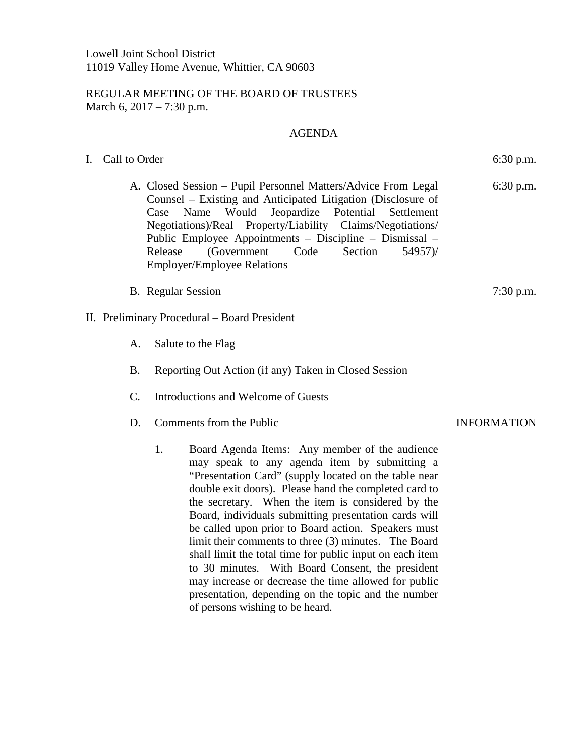## REGULAR MEETING OF THE BOARD OF TRUSTEES March 6, 2017 – 7:30 p.m.

## AGENDA

- I. Call to Order 6:30 p.m.
	- A. Closed Session Pupil Personnel Matters/Advice From Legal Counsel – Existing and Anticipated Litigation (Disclosure of Case Name Would Jeopardize Potential Settlement Negotiations)/Real Property/Liability Claims/Negotiations/ Public Employee Appointments – Discipline – Dismissal – Release (Government Code Section 54957)/ Employer/Employee Relations
	- B. Regular Session 7:30 p.m.

## II. Preliminary Procedural – Board President

- A. Salute to the Flag
- B. Reporting Out Action (if any) Taken in Closed Session
- C. Introductions and Welcome of Guests
- D. Comments from the Public INFORMATION
	- 1. Board Agenda Items: Any member of the audience may speak to any agenda item by submitting a "Presentation Card" (supply located on the table near double exit doors). Please hand the completed card to the secretary. When the item is considered by the Board, individuals submitting presentation cards will be called upon prior to Board action. Speakers must limit their comments to three (3) minutes. The Board shall limit the total time for public input on each item to 30 minutes. With Board Consent, the president may increase or decrease the time allowed for public presentation, depending on the topic and the number of persons wishing to be heard.

6:30 p.m.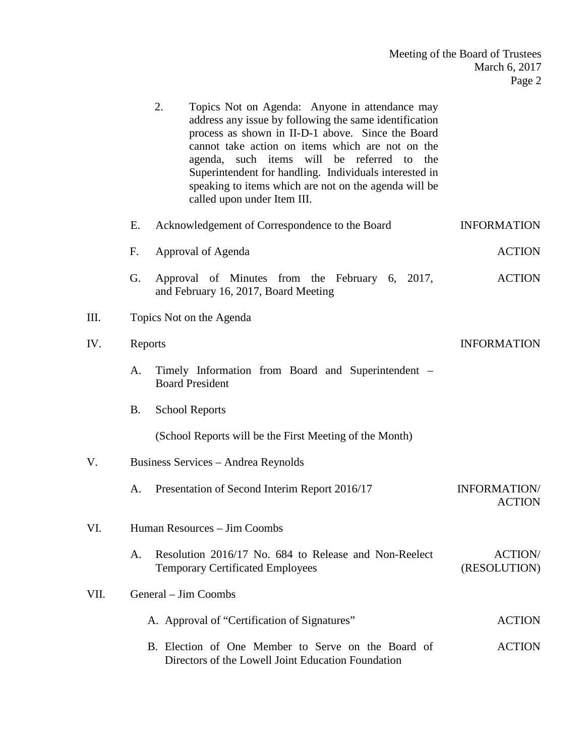|      |                              | 2.<br>Topics Not on Agenda: Anyone in attendance may<br>address any issue by following the same identification<br>process as shown in II-D-1 above. Since the Board<br>cannot take action on items which are not on the<br>agenda, such items will be referred to the<br>Superintendent for handling. Individuals interested in<br>speaking to items which are not on the agenda will be<br>called upon under Item III. |                                      |  |  |  |
|------|------------------------------|-------------------------------------------------------------------------------------------------------------------------------------------------------------------------------------------------------------------------------------------------------------------------------------------------------------------------------------------------------------------------------------------------------------------------|--------------------------------------|--|--|--|
|      | Ε.                           | Acknowledgement of Correspondence to the Board                                                                                                                                                                                                                                                                                                                                                                          | <b>INFORMATION</b>                   |  |  |  |
|      | F.                           | Approval of Agenda                                                                                                                                                                                                                                                                                                                                                                                                      | <b>ACTION</b>                        |  |  |  |
|      | G.                           | Approval of Minutes from the February 6, 2017,<br>and February 16, 2017, Board Meeting                                                                                                                                                                                                                                                                                                                                  | <b>ACTION</b>                        |  |  |  |
| III. |                              | Topics Not on the Agenda                                                                                                                                                                                                                                                                                                                                                                                                |                                      |  |  |  |
| IV.  |                              | Reports                                                                                                                                                                                                                                                                                                                                                                                                                 | <b>INFORMATION</b>                   |  |  |  |
|      | A.                           | Timely Information from Board and Superintendent –<br><b>Board President</b>                                                                                                                                                                                                                                                                                                                                            |                                      |  |  |  |
|      | <b>B.</b>                    | <b>School Reports</b>                                                                                                                                                                                                                                                                                                                                                                                                   |                                      |  |  |  |
|      |                              | (School Reports will be the First Meeting of the Month)                                                                                                                                                                                                                                                                                                                                                                 |                                      |  |  |  |
| V.   |                              | Business Services - Andrea Reynolds                                                                                                                                                                                                                                                                                                                                                                                     |                                      |  |  |  |
|      | A.                           | Presentation of Second Interim Report 2016/17                                                                                                                                                                                                                                                                                                                                                                           | <b>INFORMATION/</b><br><b>ACTION</b> |  |  |  |
| VI.  | Human Resources - Jim Coombs |                                                                                                                                                                                                                                                                                                                                                                                                                         |                                      |  |  |  |
|      | A.                           | Resolution 2016/17 No. 684 to Release and Non-Reelect<br><b>Temporary Certificated Employees</b>                                                                                                                                                                                                                                                                                                                        | <b>ACTION/</b><br>(RESOLUTION)       |  |  |  |
| VII. |                              | General – Jim Coombs                                                                                                                                                                                                                                                                                                                                                                                                    |                                      |  |  |  |
|      |                              | A. Approval of "Certification of Signatures"                                                                                                                                                                                                                                                                                                                                                                            | <b>ACTION</b>                        |  |  |  |
|      |                              | B. Election of One Member to Serve on the Board of<br>Directors of the Lowell Joint Education Foundation                                                                                                                                                                                                                                                                                                                | <b>ACTION</b>                        |  |  |  |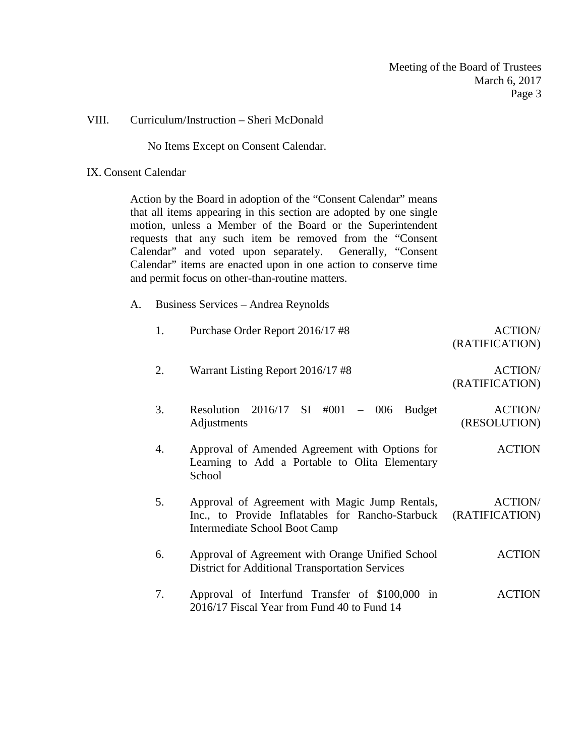## VIII. Curriculum/Instruction – Sheri McDonald

No Items Except on Consent Calendar.

### IX. Consent Calendar

Action by the Board in adoption of the "Consent Calendar" means that all items appearing in this section are adopted by one single motion, unless a Member of the Board or the Superintendent requests that any such item be removed from the "Consent Calendar" and voted upon separately. Generally, "Consent Calendar" items are enacted upon in one action to conserve time and permit focus on other-than-routine matters.

A. Business Services – Andrea Reynolds

| 1. | Purchase Order Report 2016/17 #8                                                                           | <b>ACTION/</b> |
|----|------------------------------------------------------------------------------------------------------------|----------------|
|    |                                                                                                            | (RATIFICATION) |
| 2. | Warrant Listing Report 2016/17 #8                                                                          | <b>ACTION/</b> |
|    |                                                                                                            | (RATIFICATION) |
| 3. | Resolution $2016/17$ SI #001<br>$-006$<br><b>Budget</b>                                                    | <b>ACTION/</b> |
|    | Adjustments                                                                                                | (RESOLUTION)   |
| 4. | Approval of Amended Agreement with Options for<br>Learning to Add a Portable to Olita Elementary           | <b>ACTION</b>  |
|    | School                                                                                                     |                |
| 5. | Approval of Agreement with Magic Jump Rentals,                                                             | <b>ACTION/</b> |
|    | Inc., to Provide Inflatables for Rancho-Starbuck<br>Intermediate School Boot Camp                          | (RATIFICATION) |
| 6. | Approval of Agreement with Orange Unified School<br><b>District for Additional Transportation Services</b> | <b>ACTION</b>  |
| 7. | Approval of Interfund Transfer of \$100,000 in<br>2016/17 Fiscal Year from Fund 40 to Fund 14              | <b>ACTION</b>  |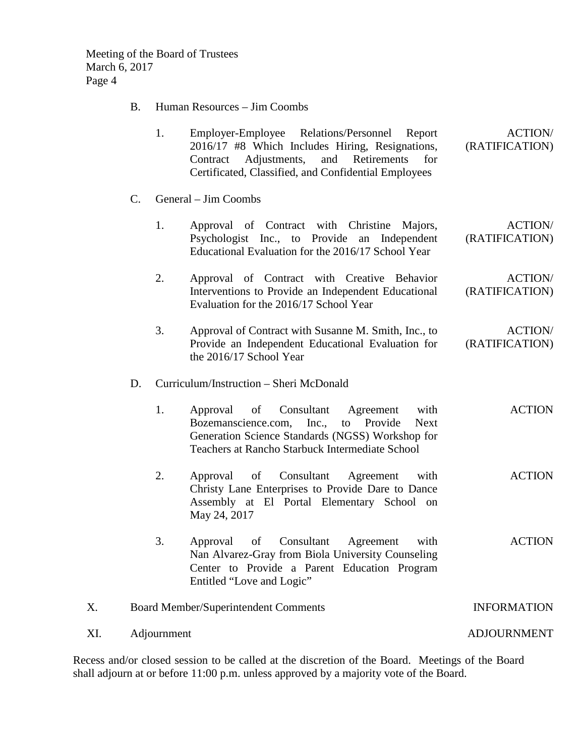Meeting of the Board of Trustees March 6, 2017 Page 4

B. Human Resources – Jim Coombs

| 1. | Employer-Employee Relations/Personnel Report         | <b>ACTION/</b> |  |
|----|------------------------------------------------------|----------------|--|
|    | 2016/17 #8 Which Includes Hiring, Resignations,      | (RATIFICATION) |  |
|    | Contract Adjustments, and Retirements for            |                |  |
|    | Certificated, Classified, and Confidential Employees |                |  |

- C. General Jim Coombs
	- 1. Approval of Contract with Christine Majors, Psychologist Inc., to Provide an Independent Educational Evaluation for the 2016/17 School Year ACTION/ (RATIFICATION)
	- 2. Approval of Contract with Creative Behavior Interventions to Provide an Independent Educational Evaluation for the 2016/17 School Year ACTION/ (RATIFICATION)
	- 3. Approval of Contract with Susanne M. Smith, Inc., to Provide an Independent Educational Evaluation for the 2016/17 School Year ACTION/ (RATIFICATION)
- D. Curriculum/Instruction Sheri McDonald

| 1. |                                                  |  |  |  | Approval of Consultant Agreement with |  |  | <b>ACTION</b> |
|----|--------------------------------------------------|--|--|--|---------------------------------------|--|--|---------------|
|    | Bozemanscience.com, Inc., to Provide Next        |  |  |  |                                       |  |  |               |
|    | Generation Science Standards (NGSS) Workshop for |  |  |  |                                       |  |  |               |
|    | Teachers at Rancho Starbuck Intermediate School  |  |  |  |                                       |  |  |               |

- 2. Approval of Consultant Agreement with Christy Lane Enterprises to Provide Dare to Dance Assembly at El Portal Elementary School on May 24, 2017 ACTION
- 3. Approval of Consultant Agreement with Nan Alvarez-Gray from Biola University Counseling Center to Provide a Parent Education Program Entitled "Love and Logic" ACTION

# X. Board Member/Superintendent Comments INFORMATION

XI. Adjournment ADJOURNMENT

Recess and/or closed session to be called at the discretion of the Board. Meetings of the Board shall adjourn at or before 11:00 p.m. unless approved by a majority vote of the Board.